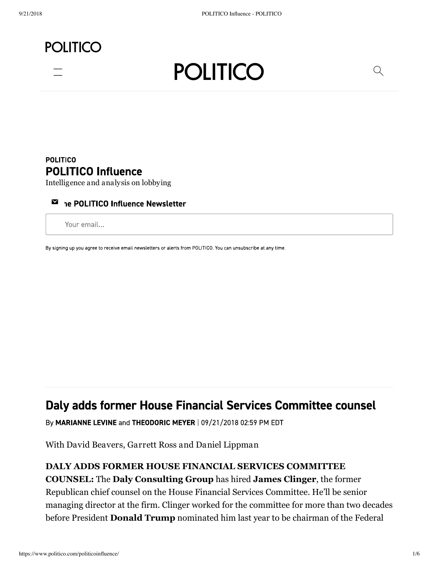# **POLITICO**





### **POLITICO POLITICO Influence**

Intelligence and analysis on lobbying

#### ⊠ ne POLITICO Influence Newsletter

Your email...

By signing up you agree to receive email newsletters or alerts from POLITICO. You can unsubscribe at any time.

## Daly adds former House Financial Services Committee counsel

By MARIANNE LEVINE and THEODORIC MEYER | 09/21/2018 02:59 PM EDT

With David Beavers, Garrett Ross and Daniel Lippman

#### **DALY ADDS FORMER HOUSE FINANCIAL SERVICES COMMITTEE**

**COUNSEL:** The **Daly Consulting Group** has hired **James Clinger**, the former Republican chief counsel on the House Financial Services Committee. He'll be senior managing director at the firm. Clinger worked for the committee for more than two decades before President **Donald Trump** nominated him last year to be chairman of the Federal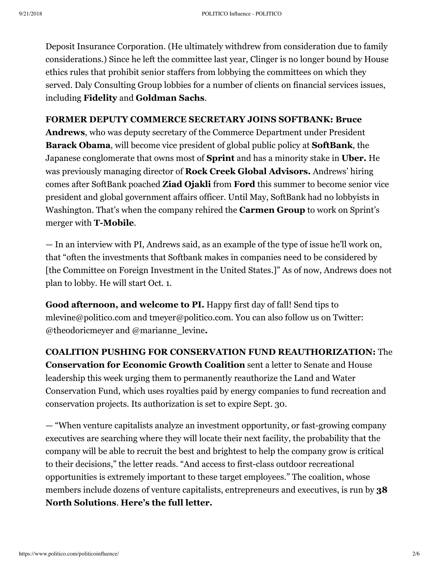Deposit Insurance Corporation. (He ultimately withdrew from consideration due to family considerations.) Since he left the committee last year, Clinger is no longer bound by House ethics rules that prohibit senior staffers from lobbying the committees on which they served. Daly Consulting Group lobbies for a number of clients on financial services issues, including **Fidelity** and **Goldman Sachs**.

#### **FORMER DEPUTY COMMERCE SECRETARY JOINS SOFTBANK: Bruce**

**Andrews**, who was deputy secretary of the Commerce Department under President **Barack Obama**, will become vice president of global public policy at **SoftBank**, the Japanese conglomerate that owns most of **Sprint** and has a minority stake in **Uber.** He was previously managing director of **Rock Creek Global Advisors.** Andrews' hiring comes after SoftBank poached **Ziad Ojakli** from **Ford** this summer to become senior vice president and global government affairs officer. Until May, SoftBank had no lobbyists in Washington. That's when the company rehired the **Carmen Group** to work on Sprint's merger with **T-Mobile**.

— In an interview with PI, Andrews said, as an example of the type of issue he'll work on, that "often the investments that Softbank makes in companies need to be considered by [the Committee on Foreign Investment in the United States.]" As of now, Andrews does not plan to lobby. He will start Oct. 1.

**Good afternoon, and welcome to PI.** Happy first day of fall! Send tips to mlevine@politico.com and tmeyer@politico.com. You can also follow us on Twitter: @theodoricmeyer and @marianne\_levine**.**

**COALITION PUSHING FOR CONSERVATION FUND REAUTHORIZATION:** The **Conservation for Economic Growth Coalition** sent a letter to Senate and House leadership this week urging them to permanently reauthorize the Land and Water Conservation Fund, which uses royalties paid by energy companies to fund recreation and conservation projects. Its authorization is set to expire Sept. 30.

— "When venture capitalists analyze an investment opportunity, or fast-growing company executives are searching where they will locate their next facility, the probability that the company will be able to recruit the best and brightest to help the company grow is critical to their decisions," the letter reads. "And access to first-class outdoor recreational opportunities is extremely important to these target employees." The coalition, whose members include dozens of venture capitalists, entrepreneurs and executives, is run by **38 North Solutions**. **Here's the full letter.**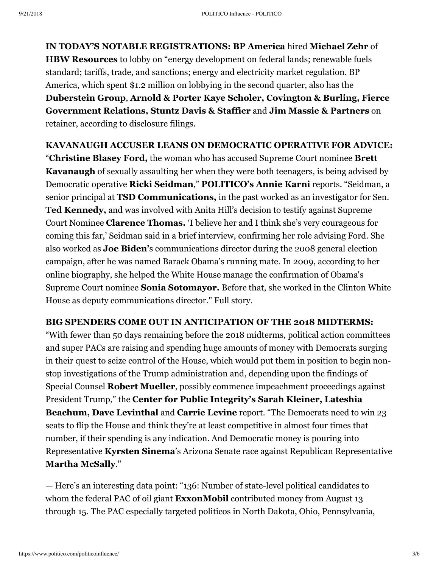**IN TODAY'S NOTABLE REGISTRATIONS: BP America** hired **Michael Zehr** of **HBW Resources** to lobby on "energy development on federal lands; renewable fuels standard; tariffs, trade, and sanctions; energy and electricity market regulation. BP America, which spent \$1.2 million on lobbying in the second quarter, also has the **Duberstein Group**, **Arnold & Porter Kaye Scholer, Covington & Burling, Fierce Government Relations, Stuntz Davis & Staffier** and **Jim Massie & Partners** on retainer, according to disclosure filings.

#### **KAVANAUGH ACCUSER LEANS ON DEMOCRATIC OPERATIVE FOR ADVICE:**

"**Christine Blasey Ford,** the woman who has accused Supreme Court nominee **Brett Kavanaugh** of sexually assaulting her when they were both teenagers, is being advised by Democratic operative **Ricki Seidman**," **POLITICO's Annie Karni** reports. "Seidman, a senior principal at **TSD Communications,** in the past worked as an investigator for Sen. **Ted Kennedy,** and was involved with Anita Hill's decision to testify against Supreme Court Nominee **Clarence Thomas.** 'I believe her and I think she's very courageous for coming this far,' Seidman said in a brief interview, confirming her role advising Ford. She also worked as **Joe Biden'**s communications director during the 2008 general election campaign, after he was named Barack Obama's running mate. In 2009, according to her online biography, she helped the White House manage the confirmation of Obama's Supreme Court nominee **Sonia Sotomayor.** Before that, she worked in the Clinton White House as deputy communications director." Full story.

#### **BIG SPENDERS COME OUT IN ANTICIPATION OF THE 2018 MIDTERMS:**

"With fewer than 50 days remaining before the 2018 midterms, political action committees and super PACs are raising and spending huge amounts of money with Democrats surging in their quest to seize control of the House, which would put them in position to begin nonstop investigations of the Trump administration and, depending upon the findings of Special Counsel **Robert Mueller**, possibly commence impeachment proceedings against President Trump," the **Center for Public Integrity's Sarah Kleiner, Lateshia Beachum, Dave Levinthal** and **Carrie Levine** report. "The Democrats need to win 23 seats to flip the House and think they're at least competitive in almost four times that number, if their spending is any indication. And Democratic money is pouring into Representative **Kyrsten Sinema**'s Arizona Senate race against Republican Representative **Martha McSally**."

— Here's an interesting data point: "136: Number of state-level political candidates to whom the federal PAC of oil giant **ExxonMobil** contributed money from August 13 through 15. The PAC especially targeted politicos in North Dakota, Ohio, Pennsylvania,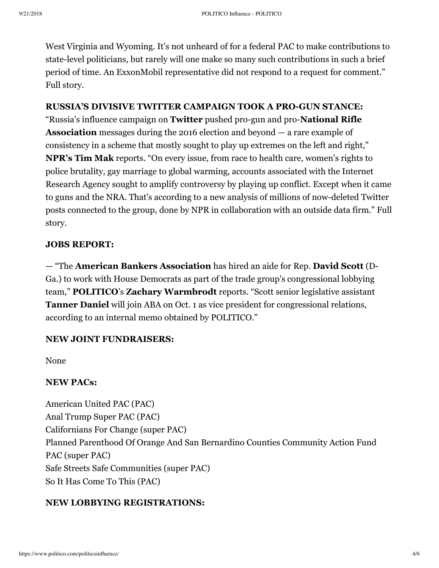West Virginia and Wyoming. It's not unheard of for a federal PAC to make contributions to state-level politicians, but rarely will one make so many such contributions in such a brief period of time. An ExxonMobil representative did not respond to a request for comment." Full story.

#### **RUSSIA'S DIVISIVE TWITTER CAMPAIGN TOOK A PROGUN STANCE:**

"Russia's influence campaign on **Twitter** pushed pro-gun and pro-**National Rifle Association** messages during the 2016 election and beyond — a rare example of consistency in a scheme that mostly sought to play up extremes on the left and right," **NPR's Tim Mak** reports. "On every issue, from race to health care, women's rights to police brutality, gay marriage to global warming, accounts associated with the Internet Research Agency sought to amplify controversy by playing up conflict. Except when it came to guns and the NRA. That's according to a new analysis of millions of now-deleted Twitter posts connected to the group, done by NPR in collaboration with an outside data firm." Full story.

#### **JOBS REPORT:**

— "The **American Bankers Association** has hired an aide for Rep. **David Scott** (D-Ga.) to work with House Democrats as part of the trade group's congressional lobbying team," **POLITICO**'s **Zachary Warmbrodt** reports. "Scott senior legislative assistant **Tanner Daniel** will join ABA on Oct. 1 as vice president for congressional relations, according to an internal memo obtained by POLITICO."

#### **NEW JOINT FUNDRAISERS:**

None

#### **NEW PACs:**

American United PAC (PAC) Anal Trump Super PAC (PAC) Californians For Change (super PAC) Planned Parenthood Of Orange And San Bernardino Counties Community Action Fund PAC (super PAC) Safe Streets Safe Communities (super PAC) So It Has Come To This (PAC)

#### **NEW LOBBYING REGISTRATIONS:**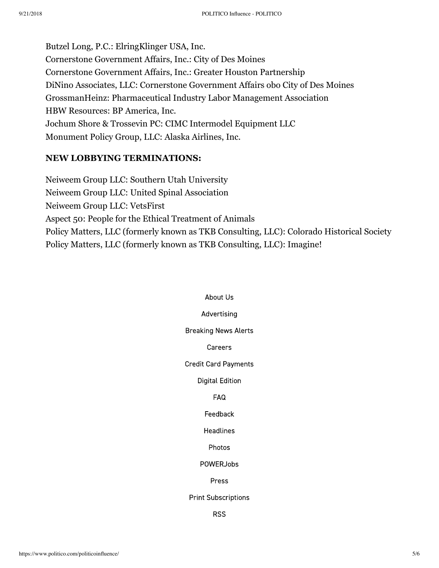Butzel Long, P.C.: ElringKlinger USA, Inc. Cornerstone Government Affairs, Inc.: City of Des Moines Cornerstone Government Affairs, Inc.: Greater Houston Partnership DiNino Associates, LLC: Cornerstone Government Affairs obo City of Des Moines GrossmanHeinz: Pharmaceutical Industry Labor Management Association HBW Resources: BP America, Inc. Jochum Shore & Trossevin PC: CIMC Intermodel Equipment LLC Monument Policy Group, LLC: Alaska Airlines, Inc.

#### **NEW LOBBYING TERMINATIONS:**

Neiweem Group LLC: Southern Utah University Neiweem Group LLC: United Spinal Association Neiweem Group LLC: VetsFirst Aspect 50: People for the Ethical Treatment of Animals Policy Matters, LLC (formerly known as TKB Consulting, LLC): Colorado Historical Society Policy Matters, LLC (formerly known as TKB Consulting, LLC): Imagine!

## About Us Advertising **Breaking News Alerts** Careers **Credit Card Payments Digital Edition FAQ** Feedback **Headlines** Photos **POWERJobs** Press **Print Subscriptions**

**RSS**